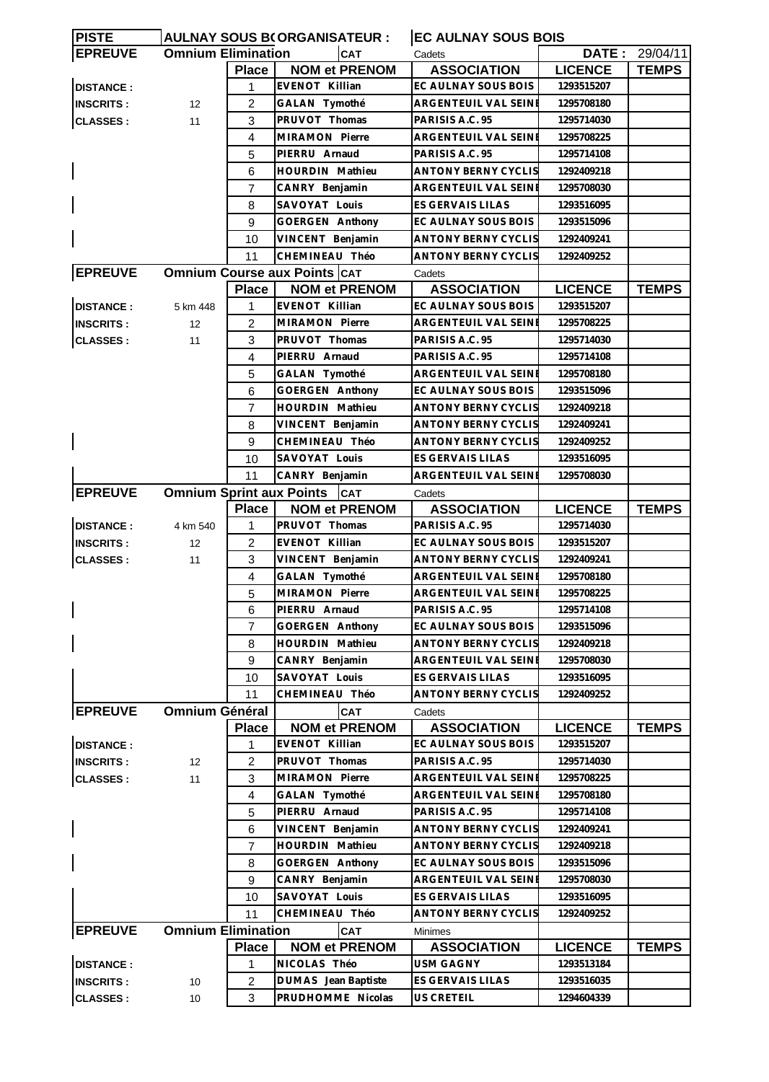| <b>PISTE</b>     |                                 |                | <b>AULNAY SOUS B(ORGANISATEUR:</b>  | <b>EC AULNAY SOUS BOIS</b> |                |                |
|------------------|---------------------------------|----------------|-------------------------------------|----------------------------|----------------|----------------|
| <b>EPREUVE</b>   | <b>Omnium Elimination</b>       |                | <b>CAT</b>                          | Cadets                     |                | DATE: 29/04/11 |
|                  |                                 | <b>Place</b>   | <b>NOM et PRENOM</b>                | <b>ASSOCIATION</b>         | <b>LICENCE</b> | <b>TEMPS</b>   |
| <b>DISTANCE:</b> |                                 | 1              | <b>EVENOT Killian</b>               | EC AULNAY SOUS BOIS        | 1293515207     |                |
| <b>INSCRITS:</b> | 12                              | $\overline{c}$ | GALAN Tymothé                       | ARGENTEUIL VAL SEINE       | 1295708180     |                |
| <b>CLASSES:</b>  | 11                              | 3              | PRUVOT Thomas                       | PARISIS A.C. 95            | 1295714030     |                |
|                  |                                 | 4              | MIRAMON Pierre                      | ARGENTEUIL VAL SEINE       | 1295708225     |                |
|                  |                                 | 5              | PIERRU Arnaud                       | PARISIS A.C. 95            | 1295714108     |                |
|                  |                                 | 6              | HOURDIN Mathieu                     | <b>ANTONY BERNY CYCLIS</b> | 1292409218     |                |
|                  |                                 | $\overline{7}$ | CANRY Benjamin                      | ARGENTEUIL VAL SEINE       | 1295708030     |                |
|                  |                                 | 8              | SAVOYAT Louis                       | ES GERVAIS LILAS           | 1293516095     |                |
|                  |                                 | 9              | <b>GOERGEN Anthony</b>              | EC AULNAY SOUS BOIS        | 1293515096     |                |
|                  |                                 | 10             | VINCENT Benjamin                    | <b>ANTONY BERNY CYCLIS</b> | 1292409241     |                |
|                  |                                 | 11             | CHEMINEAU Théo                      | ANTONY BERNY CYCLIS        | 1292409252     |                |
| <b>EPREUVE</b>   |                                 |                | <b>Omnium Course aux Points CAT</b> | Cadets                     |                |                |
|                  |                                 | <b>Place</b>   | <b>NOM et PRENOM</b>                | <b>ASSOCIATION</b>         | <b>LICENCE</b> | <b>TEMPS</b>   |
| <b>DISTANCE:</b> | 5 km 448                        | $\mathbf{1}$   | <b>EVENOT Killian</b>               | EC AULNAY SOUS BOIS        | 1293515207     |                |
| <b>INSCRITS:</b> | 12                              | 2              | MIRAMON Pierre                      | ARGENTEUIL VAL SEINE       | 1295708225     |                |
| <b>CLASSES:</b>  | 11                              | 3              | PRUVOT Thomas                       | PARISIS A.C. 95            | 1295714030     |                |
|                  |                                 | 4              | PIERRU Arnaud                       | PARISIS A.C. 95            | 1295714108     |                |
|                  |                                 | 5              | GALAN Tymothé                       | ARGENTEUIL VAL SEINE       | 1295708180     |                |
|                  |                                 |                |                                     |                            |                |                |
|                  |                                 | 6              | GOERGEN Anthony                     | EC AULNAY SOUS BOIS        | 1293515096     |                |
|                  |                                 | 7              | <b>HOURDIN</b> Mathieu              | ANTONY BERNY CYCLIS        | 1292409218     |                |
|                  |                                 | 8              | VINCENT Benjamin                    | <b>ANTONY BERNY CYCLIS</b> | 1292409241     |                |
|                  |                                 | 9              | CHEMINEAU Théo                      | <b>ANTONY BERNY CYCLIS</b> | 1292409252     |                |
|                  |                                 | 10             | SAVOYAT Louis                       | ES GERVAIS LILAS           | 1293516095     |                |
|                  |                                 | 11             | CANRY Benjamin                      | ARGENTEUIL VAL SEINE       | 1295708030     |                |
| <b>EPREUVE</b>   | <b>Omnium Sprint aux Points</b> |                | <b>CAT</b>                          | Cadets                     |                |                |
|                  |                                 | <b>Place</b>   | <b>NOM et PRENOM</b>                | <b>ASSOCIATION</b>         | <b>LICENCE</b> | <b>TEMPS</b>   |
| <b>DISTANCE:</b> | 4 km 540                        | 1              | PRUVOT Thomas                       | PARISIS A.C. 95            | 1295714030     |                |
| <b>INSCRITS:</b> | 12                              | $\overline{c}$ | <b>EVENOT Killian</b>               | EC AULNAY SOUS BOIS        | 1293515207     |                |
| <b>CLASSES:</b>  | 11                              | 3              | VINCENT Benjamin                    | <b>ANTONY BERNY CYCLIS</b> | 1292409241     |                |
|                  |                                 | 4              | GALAN Tymothé                       | ARGENTEUIL VAL SEINE       | 1295708180     |                |
|                  |                                 | 5              | MIRAMON Pierre                      | ARGENTEUIL VAL SEINE       | 1295708225     |                |
|                  |                                 | 6              | PIERRU Arnaud                       | PARISIS A.C. 95            | 1295714108     |                |
|                  |                                 | 7              | <b>GOERGEN Anthony</b>              | EC AULNAY SOUS BOIS        | 1293515096     |                |
|                  |                                 | 8              | HOURDIN Mathieu                     | <b>ANTONY BERNY CYCLIS</b> | 1292409218     |                |
|                  |                                 | 9              | CANRY Benjamin                      | ARGENTEUIL VAL SEINE       | 1295708030     |                |
|                  |                                 | 10             | SAVOYAT Louis                       | ES GERVAIS LILAS           | 1293516095     |                |
|                  |                                 | 11             | CHEMINEAU Théo                      | <b>ANTONY BERNY CYCLIS</b> | 1292409252     |                |
| <b>EPREUVE</b>   | <b>Omnium Général</b>           |                | <b>CAT</b>                          | Cadets                     |                |                |
|                  |                                 | <b>Place</b>   | <b>NOM et PRENOM</b>                | <b>ASSOCIATION</b>         | <b>LICENCE</b> | <b>TEMPS</b>   |
| <b>DISTANCE:</b> |                                 | 1              | <b>EVENOT Killian</b>               | EC AULNAY SOUS BOIS        | 1293515207     |                |
| <b>INSCRITS:</b> | 12                              | $\overline{2}$ | PRUVOT Thomas                       | PARISIS A.C. 95            | 1295714030     |                |
| <b>CLASSES:</b>  | 11                              | 3              | MIRAMON Pierre                      | ARGENTEUIL VAL SEINE       | 1295708225     |                |
|                  |                                 | 4              | GALAN Tymothé                       | ARGENTEUIL VAL SEINE       | 1295708180     |                |
|                  |                                 | 5              | PIERRU Arnaud                       | PARISIS A.C. 95            | 1295714108     |                |
|                  |                                 | 6              | VINCENT Benjamin                    | <b>ANTONY BERNY CYCLIS</b> | 1292409241     |                |
|                  |                                 | $\overline{7}$ | HOURDIN Mathieu                     | <b>ANTONY BERNY CYCLIS</b> | 1292409218     |                |
|                  |                                 | 8              | <b>GOERGEN Anthony</b>              | EC AULNAY SOUS BOIS        | 1293515096     |                |
|                  |                                 | 9              | CANRY Benjamin                      | ARGENTEUIL VAL SEINE       | 1295708030     |                |
|                  |                                 |                | SAVOYAT Louis                       | ES GERVAIS LILAS           | 1293516095     |                |
|                  |                                 | 10             |                                     |                            |                |                |
|                  |                                 | 11             | CHEMINEAU Théo                      | ANTONY BERNY CYCLIS        | 1292409252     |                |
| <b>EPREUVE</b>   | <b>Omnium Elimination</b>       |                | <b>CAT</b>                          | <b>Minimes</b>             |                |                |
|                  |                                 | <b>Place</b>   | <b>NOM et PRENOM</b>                | <b>ASSOCIATION</b>         | <b>LICENCE</b> | <b>TEMPS</b>   |
| <b>DISTANCE:</b> |                                 | 1              | NICOLAS Théo                        | <b>USM GAGNY</b>           | 1293513184     |                |
| <b>INSCRITS:</b> | 10                              | $\overline{c}$ | DUMAS Jean Baptiste                 | ES GERVAIS LILAS           | 1293516035     |                |
| <b>CLASSES:</b>  | 10                              | 3              | PRUDHOMME Nicolas                   | US CRETEIL                 | 1294604339     |                |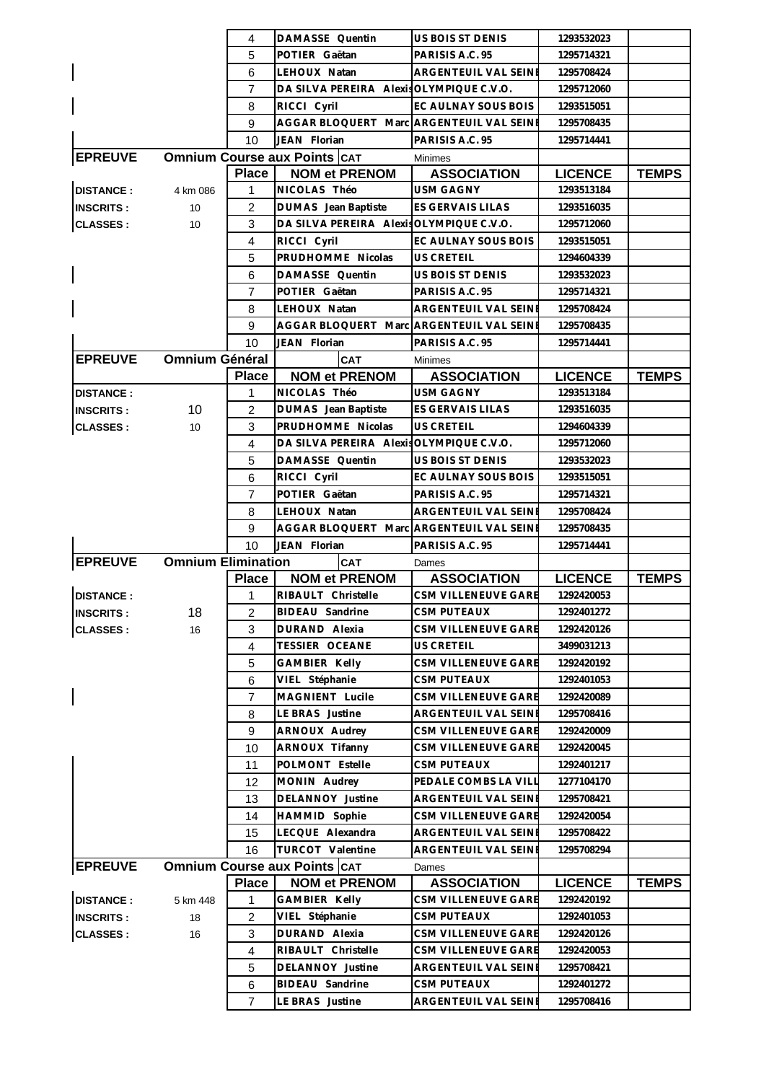|                  |                           | 4                   | DAMASSE Quentin                                                 | US BOIS ST DENIS                          | 1293532023                   |              |
|------------------|---------------------------|---------------------|-----------------------------------------------------------------|-------------------------------------------|------------------------------|--------------|
|                  |                           | 5                   | POTIER Gaëtan                                                   | PARISIS A.C. 95                           | 1295714321                   |              |
|                  |                           | 6                   | LEHOUX Natan                                                    | ARGENTEUIL VAL SEINE                      | 1295708424                   |              |
|                  |                           | 7                   | DA SILVA PEREIRA Alexis OLYMPIQUE C.V.O.                        |                                           | 1295712060                   |              |
|                  |                           | 8                   | RICCI Cyril                                                     | EC AULNAY SOUS BOIS                       | 1293515051                   |              |
|                  |                           | 9                   | AGGAR BLOQUERT Marc ARGENTEUIL VAL SEINE                        |                                           | 1295708435                   |              |
|                  |                           | 10                  | JEAN Florian                                                    | PARISIS A.C. 95                           | 1295714441                   |              |
| <b>EPREUVE</b>   |                           |                     | <b>Omnium Course aux Points CAT</b>                             | <b>Minimes</b>                            |                              |              |
|                  |                           | <b>Place</b>        | <b>NOM et PRENOM</b>                                            | <b>ASSOCIATION</b>                        | <b>LICENCE</b>               | <b>TEMPS</b> |
| <b>DISTANCE:</b> | 4 km 086                  | 1                   | NICOLAS Théo                                                    | USM GAGNY                                 | 1293513184                   |              |
|                  |                           | 2                   |                                                                 | ES GERVAIS LILAS                          | 1293516035                   |              |
| <b>INSCRITS:</b> | 10                        |                     | DUMAS Jean Baptiste<br>DA SILVA PEREIRA Alexis OLYMPIQUE C.V.O. |                                           |                              |              |
| <b>CLASSES:</b>  | 10                        | 3                   |                                                                 |                                           | 1295712060                   |              |
|                  |                           | 4                   | RICCI Cyril                                                     | EC AULNAY SOUS BOIS                       | 1293515051                   |              |
|                  |                           | 5                   | PRUDHOMME Nicolas                                               | <b>US CRETEIL</b>                         | 1294604339                   |              |
|                  |                           | 6                   | DAMASSE Quentin                                                 | US BOIS ST DENIS                          | 1293532023                   |              |
|                  |                           | $\overline{7}$      | POTIER Gaëtan                                                   | PARISIS A.C. 95                           | 1295714321                   |              |
|                  |                           | 8                   | LEHOUX Natan                                                    | ARGENTEUIL VAL SEINE                      | 1295708424                   |              |
|                  |                           | 9                   | AGGAR BLOQUERT Marc ARGENTEUIL VAL SEINE                        |                                           | 1295708435                   |              |
|                  |                           | 10                  | JEAN Florian                                                    | PARISIS A.C. 95                           | 1295714441                   |              |
| <b>EPREUVE</b>   | <b>Omnium Général</b>     |                     | <b>CAT</b>                                                      | <b>Minimes</b>                            |                              |              |
|                  |                           | <b>Place</b>        | <b>NOM et PRENOM</b>                                            | <b>ASSOCIATION</b>                        | <b>LICENCE</b>               | <b>TEMPS</b> |
| <b>DISTANCE:</b> |                           | 1                   | NICOLAS Théo                                                    | <b>USM GAGNY</b>                          | 1293513184                   |              |
| <b>INSCRITS:</b> | 10                        | $\overline{2}$      | DUMAS Jean Baptiste                                             | ES GERVAIS LILAS                          | 1293516035                   |              |
| <b>CLASSES:</b>  | 10                        | 3                   | PRUDHOMME Nicolas                                               | <b>US CRETEIL</b>                         | 1294604339                   |              |
|                  |                           | 4                   | DA SILVA PEREIRA AlexisOLYMPIQUE C.V.O.                         |                                           | 1295712060                   |              |
|                  |                           | 5                   | DAMASSE Quentin                                                 | US BOIS ST DENIS                          | 1293532023                   |              |
|                  |                           | 6                   | RICCI Cyril                                                     | EC AULNAY SOUS BOIS                       | 1293515051                   |              |
|                  |                           | 7                   | POTIER Gaëtan                                                   | PARISIS A.C. 95                           | 1295714321                   |              |
|                  |                           | 8                   | LEHOUX Natan                                                    | ARGENTEUIL VAL SEINE                      | 1295708424                   |              |
|                  |                           |                     |                                                                 |                                           |                              |              |
|                  |                           | 9                   | AGGAR BLOQUERT Marc                                             | <b>ARGENTEUIL VAL SEINE</b>               | 1295708435                   |              |
|                  |                           | 10                  | JEAN Florian                                                    | PARISIS A.C. 95                           | 1295714441                   |              |
|                  | <b>Omnium Elimination</b> |                     | <b>CAT</b>                                                      | Dames                                     |                              |              |
| <b>EPREUVE</b>   |                           |                     | <b>NOM et PRENOM</b>                                            |                                           |                              |              |
|                  |                           | <b>Place</b><br>1.  | RIBAULT Christelle                                              | <b>ASSOCIATION</b><br>CSM VILLENEUVE GARE | <b>LICENCE</b><br>1292420053 | <b>TEMPS</b> |
| <b>DISTANCE:</b> |                           |                     |                                                                 |                                           |                              |              |
| <b>INSCRITS:</b> | 18                        | $\overline{2}$      | BIDEAU Sandrine                                                 | CSM PUTEAUX                               | 1292401272                   |              |
| <b>CLASSES:</b>  | 16                        | 3<br>$\overline{4}$ | DURAND Alexia<br>TESSIER OCEANE                                 | CSM VILLENEUVE GARE<br>US CRETEIL         | 1292420126<br>3499031213     |              |
|                  |                           | 5                   |                                                                 |                                           | 1292420192                   |              |
|                  |                           | 6                   | GAMBIER Kelly                                                   | CSM VILLENEUVE GARE<br>CSM PUTEAUX        |                              |              |
|                  |                           |                     | VIEL Stéphanie                                                  |                                           | 1292401053                   |              |
|                  |                           | $\overline{7}$      | MAGNIENT Lucile                                                 | CSM VILLENEUVE GARE                       | 1292420089                   |              |
|                  |                           | 8                   | LE BRAS Justine                                                 | ARGENTEUIL VAL SEINE                      | 1295708416                   |              |
|                  |                           | 9                   | ARNOUX Audrey                                                   | CSM VILLENEUVE GARE                       | 1292420009                   |              |
|                  |                           | 10                  | ARNOUX Tifanny                                                  | CSM VILLENEUVE GARE                       | 1292420045                   |              |
|                  |                           | 11                  | POLMONT Estelle                                                 | CSM PUTEAUX                               | 1292401217                   |              |
|                  |                           | 12                  | MONIN Audrey                                                    | PEDALE COMBS LA VILL                      | 1277104170                   |              |
|                  |                           | 13                  | DELANNOY Justine                                                | ARGENTEUIL VAL SEINE                      | 1295708421                   |              |
|                  |                           | 14                  | HAMMID Sophie                                                   | CSM VILLENEUVE GARE                       | 1292420054                   |              |
|                  |                           | 15                  | LECQUE Alexandra                                                | ARGENTEUIL VAL SEINE                      | 1295708422                   |              |
|                  |                           | 16                  | TURCOT Valentine                                                | ARGENTEUIL VAL SEINE                      | 1295708294                   |              |
| <b>EPREUVE</b>   |                           |                     | <b>Omnium Course aux Points CAT</b>                             | Dames                                     |                              |              |
|                  |                           | <b>Place</b>        | <b>NOM et PRENOM</b>                                            | <b>ASSOCIATION</b>                        | <b>LICENCE</b>               | <b>TEMPS</b> |
| <b>DISTANCE:</b> | 5 km 448                  | 1                   | GAMBIER Kelly                                                   | CSM VILLENEUVE GARE                       | 1292420192                   |              |
| <b>INSCRITS:</b> | 18                        | 2                   | VIEL Stéphanie                                                  | CSM PUTEAUX                               | 1292401053                   |              |
| <b>CLASSES:</b>  | 16                        | 3                   | DURAND Alexia                                                   | CSM VILLENEUVE GARE                       | 1292420126                   |              |
|                  |                           | $\overline{4}$      | RIBAULT Christelle                                              | CSM VILLENEUVE GARE                       | 1292420053                   |              |
|                  |                           | 5                   | DELANNOY Justine                                                | ARGENTEUIL VAL SEINE                      | 1295708421                   |              |
|                  |                           | 6<br>$\overline{7}$ | BIDEAU Sandrine<br>LE BRAS Justine                              | CSM PUTEAUX<br>ARGENTEUIL VAL SEINE       | 1292401272<br>1295708416     |              |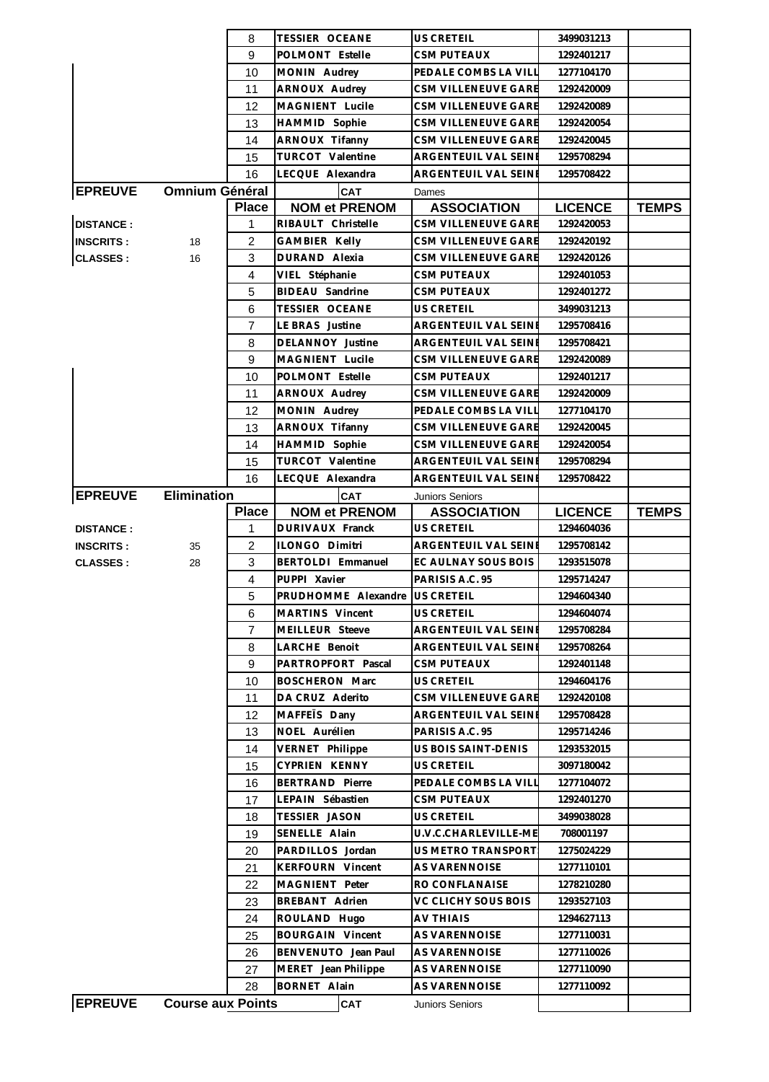|                  |                          | 8              | TESSIER OCEANE                          | US CRETEIL                                  | 3499031213                   |              |
|------------------|--------------------------|----------------|-----------------------------------------|---------------------------------------------|------------------------------|--------------|
|                  |                          | 9              | POLMONT Estelle                         | <b>CSM PUTEAUX</b>                          | 1292401217                   |              |
|                  |                          | 10             | MONIN Audrey                            | PEDALE COMBS LA VILL                        | 1277104170                   |              |
|                  |                          | 11             | ARNOUX Audrey                           | CSM VILLENEUVE GARE                         | 1292420009                   |              |
|                  |                          | 12             | MAGNIENT Lucile                         | CSM VILLENEUVE GARE                         | 1292420089                   |              |
|                  |                          | 13             | HAMMID Sophie                           | CSM VILLENEUVE GARE                         | 1292420054                   |              |
|                  |                          | 14             | ARNOUX Tifanny                          | CSM VILLENEUVE GARE                         | 1292420045                   |              |
|                  |                          | 15             | TURCOT Valentine                        | ARGENTEUIL VAL SEINE                        | 1295708294                   |              |
|                  |                          | 16             | LECQUE Alexandra                        | ARGENTEUIL VAL SEINI                        | 1295708422                   |              |
| <b>EPREUVE</b>   | <b>Omnium Général</b>    |                | CAT                                     | Dames                                       |                              |              |
|                  |                          | <b>Place</b>   | <b>NOM et PRENOM</b>                    | <b>ASSOCIATION</b>                          | <b>LICENCE</b>               | <b>TEMPS</b> |
| <b>DISTANCE:</b> |                          | 1              | RIBAULT Christelle                      | CSM VILLENEUVE GARE                         | 1292420053                   |              |
| <b>INSCRITS:</b> | 18                       | 2              | <b>GAMBIER Kelly</b>                    | <b>CSM VILLENEUVE GARE</b>                  | 1292420192                   |              |
| <b>CLASSES:</b>  | 16                       | 3              | DURAND Alexia                           | <b>CSM VILLENEUVE GARE</b>                  | 1292420126                   |              |
|                  |                          | $\overline{4}$ | VIEL Stéphanie                          | <b>CSM PUTEAUX</b>                          | 1292401053                   |              |
|                  |                          | 5              | BIDEAU Sandrine                         | <b>CSM PUTEAUX</b>                          | 1292401272                   |              |
|                  |                          | 6              | <b>TESSIER OCEANE</b>                   | <b>US CRETEIL</b>                           | 3499031213                   |              |
|                  |                          | $\overline{7}$ | LE BRAS Justine                         | ARGENTEUIL VAL SEINE                        | 1295708416                   |              |
|                  |                          |                |                                         | ARGENTEUIL VAL SEINE                        |                              |              |
|                  |                          | 8              | DELANNOY Justine                        |                                             | 1295708421                   |              |
|                  |                          | 9              | MAGNIENT Lucile                         | CSM VILLENEUVE GARE                         | 1292420089                   |              |
|                  |                          | 10             | POLMONT Estelle                         | <b>CSM PUTEAUX</b>                          | 1292401217                   |              |
|                  |                          | 11             | ARNOUX Audrey                           | CSM VILLENEUVE GARE                         | 1292420009                   |              |
|                  |                          | 12             | MONIN Audrey                            | PEDALE COMBS LA VILL                        | 1277104170                   |              |
|                  |                          | 13             | ARNOUX Tifanny                          | <b>CSM VILLENEUVE GARE</b>                  | 1292420045                   |              |
|                  |                          | 14             | HAMMID Sophie                           | CSM VILLENEUVE GARE                         | 1292420054                   |              |
|                  |                          | 15             | TURCOT Valentine                        | ARGENTEUIL VAL SEINE                        | 1295708294                   |              |
|                  |                          | 16             | LECQUE Alexandra                        | ARGENTEUIL VAL SEINE                        | 1295708422                   |              |
| <b>EPREUVE</b>   | <b>Elimination</b>       |                | CAT                                     | Juniors Seniors                             |                              |              |
|                  |                          | <b>Place</b>   | <b>NOM et PRENOM</b><br>DURIVAUX Franck | <b>ASSOCIATION</b><br>US CRETEIL            | <b>LICENCE</b><br>1294604036 | <b>TEMPS</b> |
| <b>DISTANCE:</b> |                          | 1<br>2         | ILONGO Dimitri                          |                                             |                              |              |
| <b>INSCRITS:</b> | 35                       | 3              | BERTOLDI Emmanuel                       | ARGENTEUIL VAL SEINI<br>EC AULNAY SOUS BOIS | 1295708142<br>1293515078     |              |
| <b>CLASSES:</b>  | 28                       | 4              | PUPPI Xavier                            | PARISIS A.C. 95                             | 1295714247                   |              |
|                  |                          | 5              | PRUDHOMME Alexandre                     | US CRETEIL                                  | 1294604340                   |              |
|                  |                          | 6              | MARTINS Vincent                         | <b>US CRETEIL</b>                           | 1294604074                   |              |
|                  |                          | 7              | MEILLEUR Steeve                         | ARGENTEUIL VAL SEINI                        | 1295708284                   |              |
|                  |                          | 8              | LARCHE Benoit                           | ARGENTEUIL VAL SEINI                        | 1295708264                   |              |
|                  |                          | 9              |                                         |                                             |                              |              |
|                  |                          |                |                                         |                                             |                              |              |
|                  |                          |                | PARTROPFORT Pascal                      | <b>CSM PUTEAUX</b>                          | 1292401148                   |              |
|                  |                          | 10             | <b>BOSCHERON Marc</b>                   | US CRETEIL                                  | 1294604176                   |              |
|                  |                          | 11             | DA CRUZ Aderito                         | CSM VILLENEUVE GARE                         | 1292420108                   |              |
|                  |                          | 12             | MAFFETS Dany                            | ARGENTEUIL VAL SEINE                        | 1295708428                   |              |
|                  |                          | 13             | NOEL Aurélien                           | PARISIS A.C. 95                             | 1295714246                   |              |
|                  |                          | 14             | VERNET Philippe                         | US BOIS SAINT-DENIS                         | 1293532015                   |              |
|                  |                          | 15             | CYPRIEN KENNY                           | US CRETEIL                                  | 3097180042                   |              |
|                  |                          | 16             | <b>BERTRAND Pierre</b>                  | PEDALE COMBS LA VILL                        | 1277104072                   |              |
|                  |                          | 17             | LEPAIN Sébastien                        | <b>CSM PUTEAUX</b>                          | 1292401270                   |              |
|                  |                          | 18             | TESSIER JASON                           | <b>US CRETEIL</b>                           | 3499038028                   |              |
|                  |                          | 19             | SENELLE Alain                           | U.V.C.CHARLEVILLE-ME                        | 708001197                    |              |
|                  |                          | 20             | PARDILLOS Jordan                        | US METRO TRANSPORT                          | 1275024229                   |              |
|                  |                          | 21             | <b>KERFOURN Vincent</b>                 | AS VARENNOISE                               | 1277110101                   |              |
|                  |                          | 22             | MAGNIENT Peter                          | RO CONFLANAISE                              | 1278210280                   |              |
|                  |                          | 23             | BREBANT Adrien                          | VC CLICHY SOUS BOIS                         | 1293527103                   |              |
|                  |                          | 24             | ROULAND Hugo                            | <b>AV THIAIS</b>                            | 1294627113                   |              |
|                  |                          | 25             | <b>BOURGAIN Vincent</b>                 | AS VARENNOISE                               | 1277110031                   |              |
|                  |                          | 26             | BENVENUTO Jean Paul                     | AS VARENNOISE                               | 1277110026                   |              |
|                  |                          | 27             | MERET Jean Philippe                     | AS VARENNOISE                               | 1277110090                   |              |
| <b>EPREUVE</b>   | <b>Course aux Points</b> | 28             | BORNET Alain<br><b>CAT</b>              | AS VARENNOISE<br>Juniors Seniors            | 1277110092                   |              |